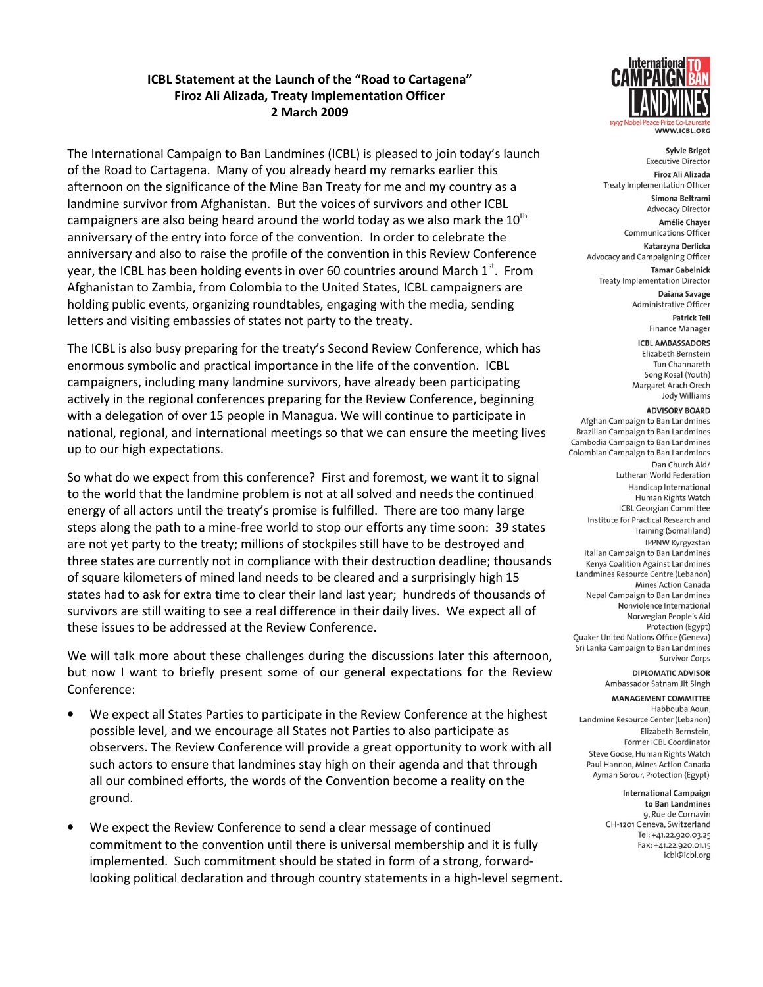## ICBL Statement at the Launch of the "Road to Cartagena" Firoz Ali Alizada, Treaty Implementation Officer 2 March 2009

The International Campaign to Ban Landmines (ICBL) is pleased to join today's launch of the Road to Cartagena. Many of you already heard my remarks earlier this afternoon on the significance of the Mine Ban Treaty for me and my country as a landmine survivor from Afghanistan. But the voices of survivors and other ICBL campaigners are also being heard around the world today as we also mark the  $10<sup>th</sup>$ anniversary of the entry into force of the convention. In order to celebrate the anniversary and also to raise the profile of the convention in this Review Conference year, the ICBL has been holding events in over 60 countries around March  $1<sup>st</sup>$ . From Afghanistan to Zambia, from Colombia to the United States, ICBL campaigners are holding public events, organizing roundtables, engaging with the media, sending letters and visiting embassies of states not party to the treaty.

The ICBL is also busy preparing for the treaty's Second Review Conference, which has enormous symbolic and practical importance in the life of the convention. ICBL campaigners, including many landmine survivors, have already been participating actively in the regional conferences preparing for the Review Conference, beginning with a delegation of over 15 people in Managua. We will continue to participate in national, regional, and international meetings so that we can ensure the meeting lives up to our high expectations.

So what do we expect from this conference? First and foremost, we want it to signal to the world that the landmine problem is not at all solved and needs the continued energy of all actors until the treaty's promise is fulfilled. There are too many large steps along the path to a mine-free world to stop our efforts any time soon: 39 states are not yet party to the treaty; millions of stockpiles still have to be destroyed and three states are currently not in compliance with their destruction deadline; thousands of square kilometers of mined land needs to be cleared and a surprisingly high 15 states had to ask for extra time to clear their land last year; hundreds of thousands of survivors are still waiting to see a real difference in their daily lives. We expect all of these issues to be addressed at the Review Conference.

We will talk more about these challenges during the discussions later this afternoon, but now I want to briefly present some of our general expectations for the Review Conference:

- We expect all States Parties to participate in the Review Conference at the highest possible level, and we encourage all States not Parties to also participate as observers. The Review Conference will provide a great opportunity to work with all such actors to ensure that landmines stay high on their agenda and that through all our combined efforts, the words of the Convention become a reality on the ground.
- We expect the Review Conference to send a clear message of continued commitment to the convention until there is universal membership and it is fully implemented. Such commitment should be stated in form of a strong, forwardlooking political declaration and through country statements in a high-level segment.



WWW.ICBL.ORG

**Sylvie Brigot Executive Director** Firoz Ali Alizada

**Treaty Implementation Officer** Simona Beltrami

> **Advocacy Director Amélie Chaver**

**Communications Officer** Katarzyna Derlicka

Advocacy and Campaigning Officer **Tamar Gabelnick Treaty Implementation Director** 

Daiana Savage Administrative Officer

> **Patrick Teil Finance Manager**

**ICBL AMBASSADORS** Elizabeth Bernstein Tun Channareth Song Kosal (Youth) Margaret Arach Orech **Jody Williams** 

## **ADVISORY BOARD**

Afghan Campaign to Ban Landmines Brazilian Campaign to Ban Landmines Cambodia Campaign to Ban Landmines Colombian Campaign to Ban Landmines Dan Church Aid/ **Lutheran World Federation** Handicap International Human Rights Watch **ICBL Georgian Committee** Institute for Practical Research and Training (Somaliland) IPPNW Kyrgyzstan Italian Campaign to Ban Landmines Kenya Coalition Against Landmines Landmines Resource Centre (Lebanon) **Mines Action Canada** Nepal Campaign to Ban Landmines Nonviolence International Norwegian People's Aid Protection (Egypt) **Ouaker United Nations Office (Geneva)** Sri Lanka Campaign to Ban Landmines **Survivor Corps** 

## **DIPLOMATIC ADVISOR** Ambassador Satnam Jit Singh

**MANAGEMENT COMMITTEE** Habbouba Aoun. Landmine Resource Center (Lebanon) Elizabeth Bernstein, Former ICBL Coordinator Steve Goose, Human Rights Watch Paul Hannon, Mines Action Canada Ayman Sorour, Protection (Egypt)

## **International Campaign** to Ban Landmines

9, Rue de Cornavin CH-1201 Geneva, Switzerland Tel: +41.22.920.03.25 Fax: +41.22.920.01.15 icbl@icbl.org